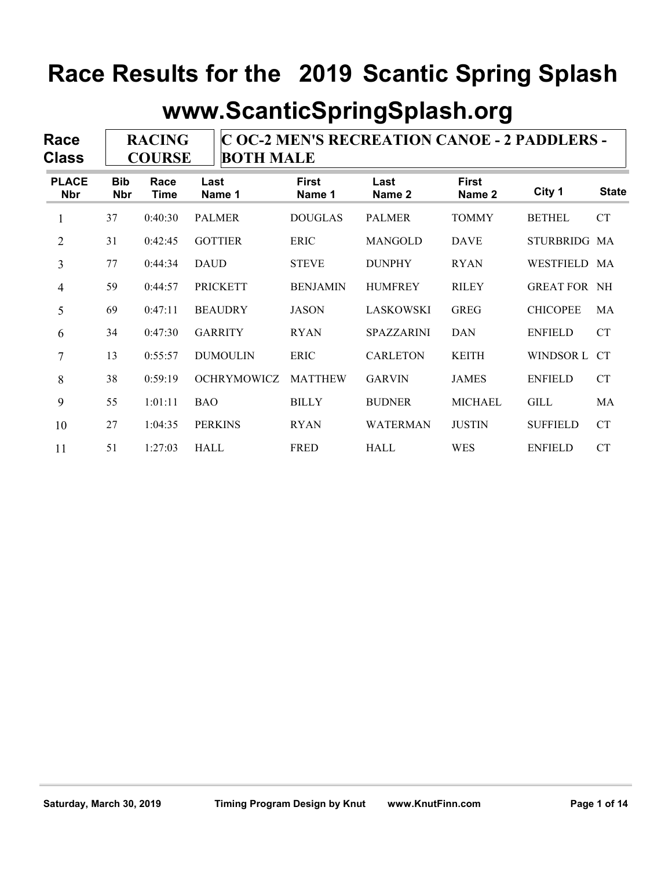### **www.ScanticSpringSplash.org**

| Race<br><b>Class</b> |                          | <b>RACING</b><br><b>COURSE</b> |                    | C OC-2 MEN'S RECREATION CANOE - 2 PADDLERS -<br><b>BOTH MALE</b> |                   |                        |                     |              |  |  |
|----------------------|--------------------------|--------------------------------|--------------------|------------------------------------------------------------------|-------------------|------------------------|---------------------|--------------|--|--|
| <b>PLACE</b><br>Nbr  | <b>Bib</b><br><b>Nbr</b> | Race<br><b>Time</b>            | Last<br>Name 1     | <b>First</b><br>Name 1                                           | Last<br>Name 2    | <b>First</b><br>Name 2 | City 1              | <b>State</b> |  |  |
| $\mathbf{1}$         | 37                       | 0:40:30                        | <b>PALMER</b>      | <b>DOUGLAS</b>                                                   | <b>PALMER</b>     | <b>TOMMY</b>           | <b>BETHEL</b>       | <b>CT</b>    |  |  |
| $\overline{2}$       | 31                       | 0:42:45                        | <b>GOTTIER</b>     | <b>ERIC</b>                                                      | <b>MANGOLD</b>    | <b>DAVE</b>            | STURBRIDG MA        |              |  |  |
| 3                    | 77                       | 0:44:34                        | <b>DAUD</b>        | <b>STEVE</b>                                                     | <b>DUNPHY</b>     | <b>RYAN</b>            | WESTFIELD MA        |              |  |  |
| 4                    | 59                       | 0:44:57                        | <b>PRICKETT</b>    | <b>BENJAMIN</b>                                                  | <b>HUMFREY</b>    | <b>RILEY</b>           | <b>GREAT FOR NH</b> |              |  |  |
| 5                    | 69                       | 0:47:11                        | <b>BEAUDRY</b>     | <b>JASON</b>                                                     | LASKOWSKI         | <b>GREG</b>            | <b>CHICOPEE</b>     | MA           |  |  |
| 6                    | 34                       | 0:47:30                        | <b>GARRITY</b>     | <b>RYAN</b>                                                      | <b>SPAZZARINI</b> | <b>DAN</b>             | <b>ENFIELD</b>      | <b>CT</b>    |  |  |
| 7                    | 13                       | 0:55:57                        | <b>DUMOULIN</b>    | <b>ERIC</b>                                                      | <b>CARLETON</b>   | <b>KEITH</b>           | WINDSOR L           | CT           |  |  |
| 8                    | 38                       | 0:59:19                        | <b>OCHRYMOWICZ</b> | <b>MATTHEW</b>                                                   | <b>GARVIN</b>     | <b>JAMES</b>           | <b>ENFIELD</b>      | <b>CT</b>    |  |  |
| 9                    | 55                       | 1:01:11                        | <b>BAO</b>         | <b>BILLY</b>                                                     | <b>BUDNER</b>     | <b>MICHAEL</b>         | <b>GILL</b>         | MA           |  |  |
| 10                   | 27                       | 1:04:35                        | <b>PERKINS</b>     | <b>RYAN</b>                                                      | <b>WATERMAN</b>   | <b>JUSTIN</b>          | <b>SUFFIELD</b>     | <b>CT</b>    |  |  |
| 11                   | 51                       | 1:27:03                        | <b>HALL</b>        | <b>FRED</b>                                                      | HALL              | <b>WES</b>             | <b>ENFIELD</b>      | CT           |  |  |

'n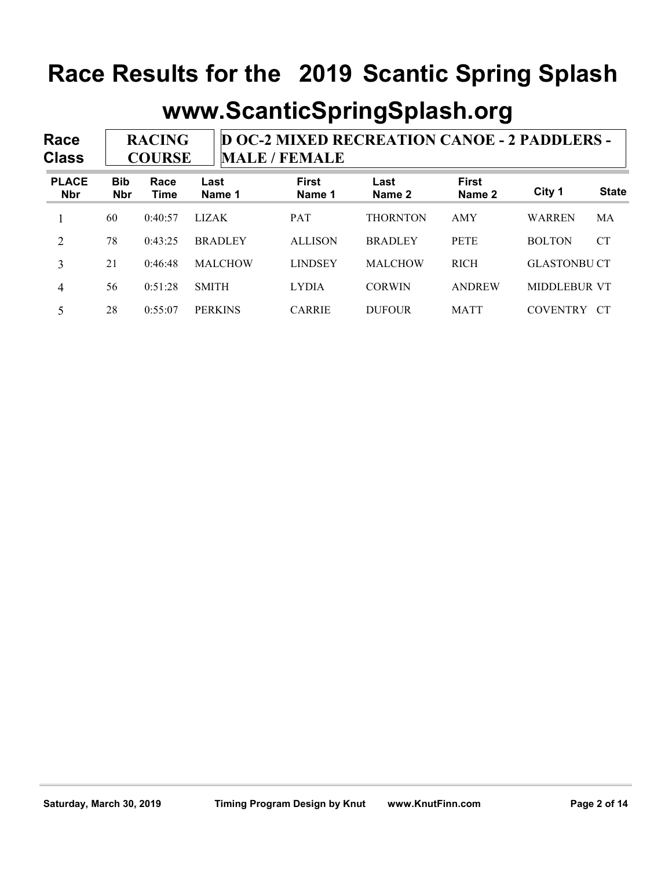#### **www.ScanticSpringSplash.org**

**Race Class D OC-2 MIXED RECREATION CANOE - 2 PADDLERS - MALE / FEMALE RACING COURSE Bib Nbr Race Time Last Name 1 First Name 1 Last Name 2 First Name 2 City 1 State PLACE Nbr** 1 60 0:40:57 LIZAK PAT THORNTON AMY WARREN MA 2 78 0:43:25 BRADLEY ALLISON BRADLEY PETE BOLTON CT 3 21 0:46:48 MALCHOW LINDSEY MALCHOW RICH GLASTONBU CT 4 56 0:51:28 SMITH LYDIA CORWIN ANDREW MIDDLEBUR VT

5 28 0:55:07 PERKINS CARRIE DUFOUR MATT COVENTRY CT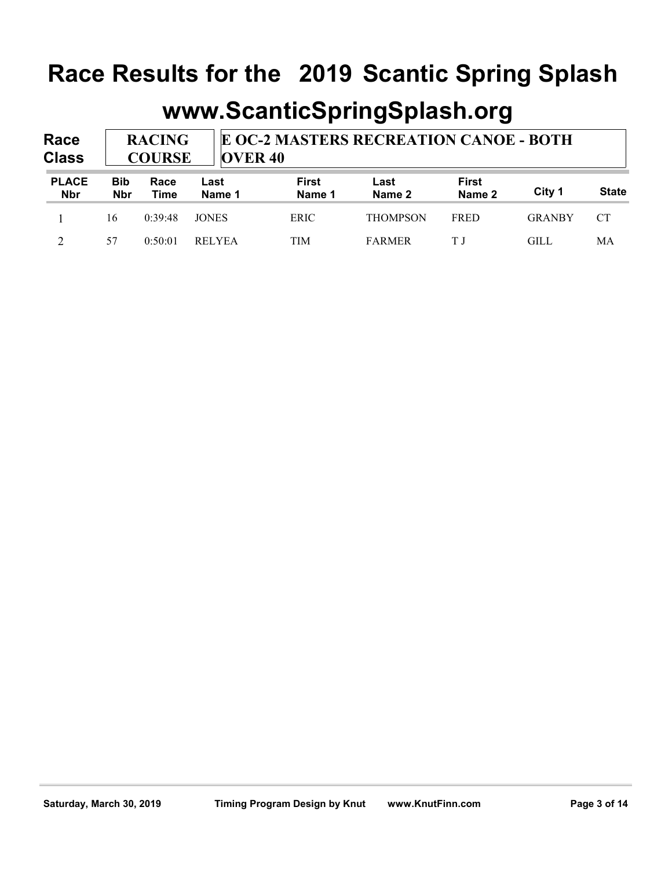| Race<br><b>Class</b>       |                          | <b>RACING</b><br><b>COURSE</b> |                | E OC-2 MASTERS RECREATION CANOE - BOTH<br><b>OVER 40</b> |                 |                        |               |              |  |  |
|----------------------------|--------------------------|--------------------------------|----------------|----------------------------------------------------------|-----------------|------------------------|---------------|--------------|--|--|
| <b>PLACE</b><br><b>Nbr</b> | <b>Bib</b><br><b>Nbr</b> | Race<br>Time                   | Last<br>Name 1 | First<br>Name 1                                          | Last<br>Name 2  | <b>First</b><br>Name 2 | City 1        | <b>State</b> |  |  |
|                            | 16                       | 0:39:48                        | <b>JONES</b>   | <b>ERIC</b>                                              | <b>THOMPSON</b> | <b>FRED</b>            | <b>GRANBY</b> | <b>CT</b>    |  |  |
|                            | 57                       | 0:50:01                        | <b>RELYEA</b>  | TIM                                                      | <b>FARMER</b>   | ΤJ                     | GILL          | МA           |  |  |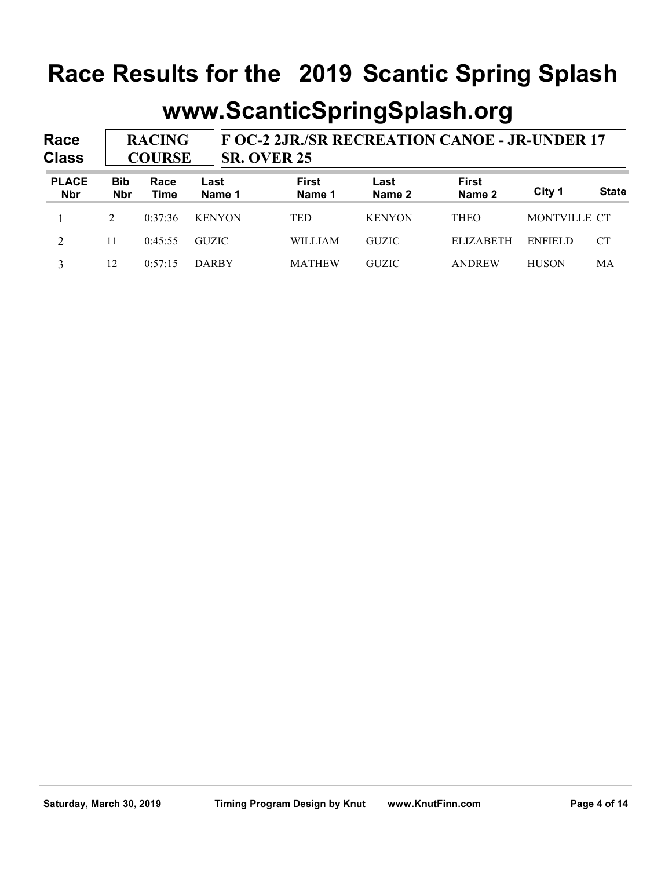| Race<br><b>Class</b>       |                          | <b>RACING</b><br><b>COURSE</b> |                | <b>F OC-2 2JR./SR RECREATION CANOE - JR-UNDER 17</b><br><b>SR. OVER 25</b> |                |                        |              |              |  |  |
|----------------------------|--------------------------|--------------------------------|----------------|----------------------------------------------------------------------------|----------------|------------------------|--------------|--------------|--|--|
| <b>PLACE</b><br><b>Nbr</b> | <b>Bib</b><br><b>Nbr</b> | Race<br>Time                   | Last<br>Name 1 | First<br>Name 1                                                            | Last<br>Name 2 | <b>First</b><br>Name 2 | City 1       | <b>State</b> |  |  |
|                            | $\mathfrak{D}$           | 0:37:36                        | <b>KENYON</b>  | <b>TED</b>                                                                 | <b>KENYON</b>  | <b>THEO</b>            | MONTVILLE CT |              |  |  |
| 2                          | 11                       | 0:45:55                        | <b>GUZIC</b>   | <b>WILLIAM</b>                                                             | <b>GUZIC</b>   | <b>ELIZABETH</b>       | ENFIELD      | <b>CT</b>    |  |  |
| 3                          | 12                       | 0:57:15                        | <b>DARBY</b>   | <b>MATHEW</b>                                                              | <b>GUZIC</b>   | ANDREW                 | <b>HUSON</b> | МA           |  |  |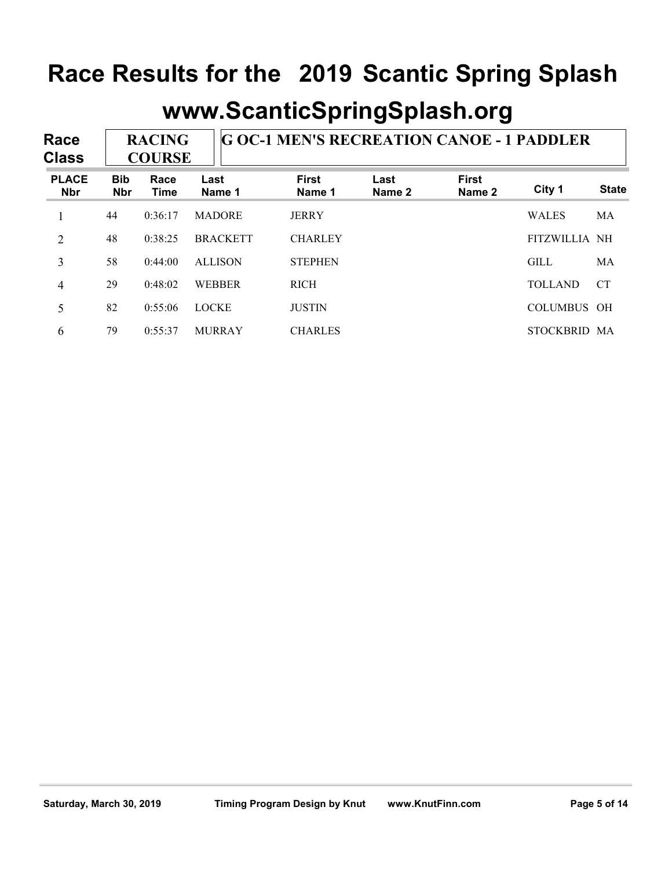| Race<br><b>Class</b>       |                          | <b>RACING</b><br><b>COURSE</b> |                 | <b>G OC-1 MEN'S RECREATION CANOE - 1 PADDLER</b> |                |                        |                    |              |  |  |
|----------------------------|--------------------------|--------------------------------|-----------------|--------------------------------------------------|----------------|------------------------|--------------------|--------------|--|--|
| <b>PLACE</b><br><b>Nbr</b> | <b>Bib</b><br><b>Nbr</b> | Race<br>Time                   | Last<br>Name 1  | <b>First</b><br>Name 1                           | Last<br>Name 2 | <b>First</b><br>Name 2 | City 1             | <b>State</b> |  |  |
|                            | 44                       | 0:36:17                        | <b>MADORE</b>   | <b>JERRY</b>                                     |                |                        | <b>WALES</b>       | MA           |  |  |
| $\overline{2}$             | 48                       | 0:38:25                        | <b>BRACKETT</b> | <b>CHARLEY</b>                                   |                |                        | FITZWILLIA NH      |              |  |  |
| 3                          | 58                       | 0:44:00                        | <b>ALLISON</b>  | <b>STEPHEN</b>                                   |                |                        | <b>GILL</b>        | MA           |  |  |
| $\overline{4}$             | 29                       | 0:48:02                        | <b>WEBBER</b>   | <b>RICH</b>                                      |                |                        | <b>TOLLAND</b>     | <b>CT</b>    |  |  |
| 5                          | 82                       | 0:55:06                        | <b>LOCKE</b>    | <b>JUSTIN</b>                                    |                |                        | <b>COLUMBUS OH</b> |              |  |  |
| 6                          | 79                       | 0:55:37                        | <b>MURRAY</b>   | <b>CHARLES</b>                                   |                |                        | STOCKBRID MA       |              |  |  |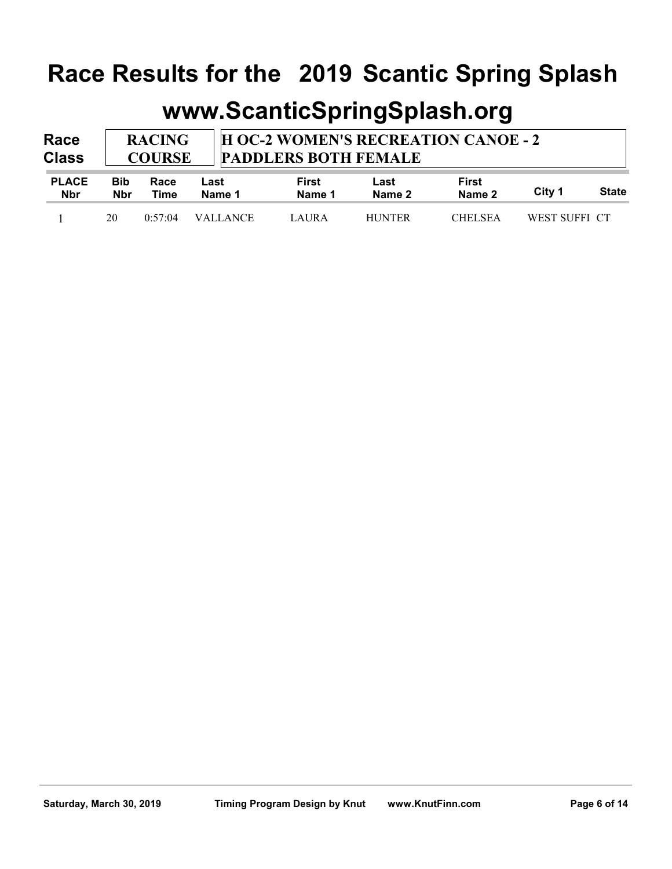| Race<br><b>Class</b> | <b>RACING</b><br><b>COURSE</b> |      |      | <b>I H OC-2 WOMEN'S RECREATION CANOE - 2</b><br><b>PADDLERS BOTH FEMALE</b> |      |       |  |
|----------------------|--------------------------------|------|------|-----------------------------------------------------------------------------|------|-------|--|
| <b>PLACE</b>         | <b>Bib</b>                     | Race | Last | First                                                                       | Last | First |  |

| <b>Nbr</b> | <b>Nbr</b> | Time | Name 1             | Name 1 | Name 2        | Name 2         | City 1        | <b>State</b> |
|------------|------------|------|--------------------|--------|---------------|----------------|---------------|--------------|
|            | 20         |      | $0:57:04$ VALLANCE | LAURA  | <b>HUNTER</b> | <b>CHELSEA</b> | WEST SUFFI CT |              |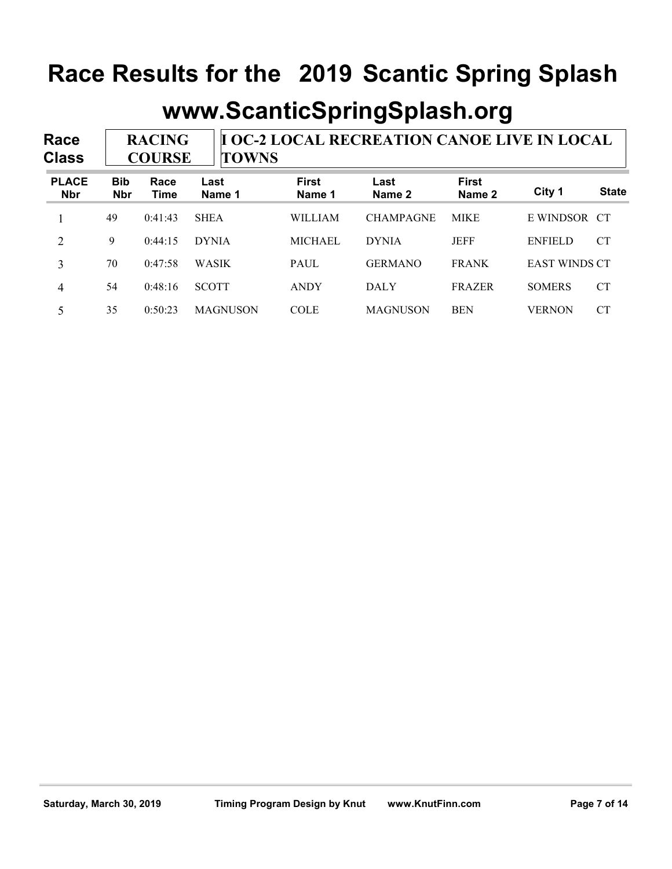#### **www.ScanticSpringSplash.org**

**Race Class I OC-2 LOCAL RECREATION CANOE LIVE IN LOCAL TOWNS RACING COURSE Bib Nbr Race Time Last Name 1 First Name 1 Last Name 2 First Name 2 City 1 State PLACE Nbr** 1 49 0:41:43 SHEA WILLIAM CHAMPAGNE MIKE E WINDSOR CT 2 9 0:44:15 DYNIA MICHAEL DYNIA JEFF ENFIELD CT 3 70 0:47:58 WASIK PAUL GERMANO FRANK EAST WINDS CT 4 54 0:48:16 SCOTT ANDY DALY FRAZER SOMERS CT 5 35 0:50:23 MAGNUSON COLE MAGNUSON BEN VERNON CT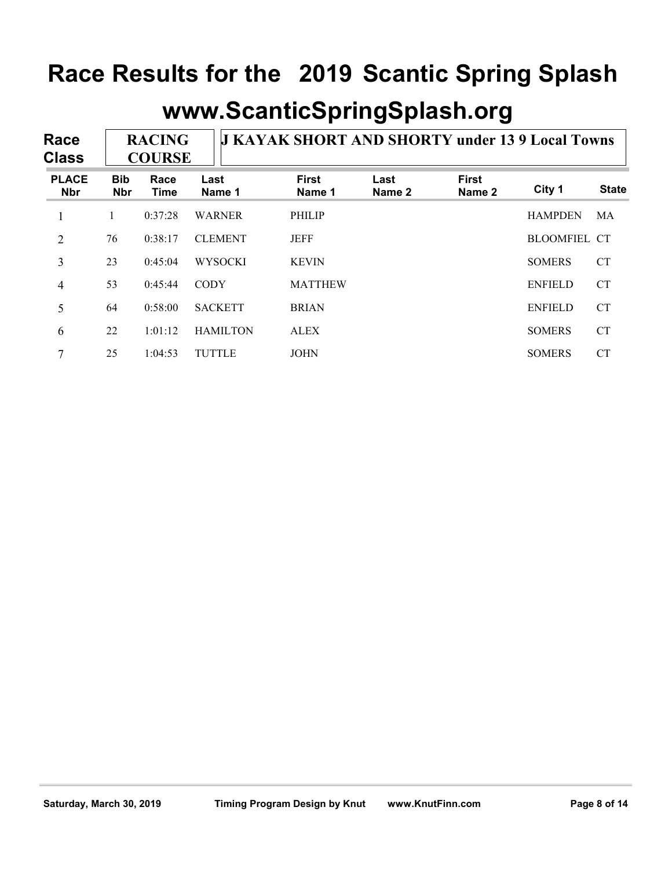| Race<br><b>Class</b>       |                          | <b>RACING</b><br><b>COURSE</b> |                 | <b>J KAYAK SHORT AND SHORTY under 13 9 Local Towns</b> |                |                        |                     |              |  |  |
|----------------------------|--------------------------|--------------------------------|-----------------|--------------------------------------------------------|----------------|------------------------|---------------------|--------------|--|--|
| <b>PLACE</b><br><b>Nbr</b> | <b>Bib</b><br><b>Nbr</b> | Race<br>Time                   | Last<br>Name 1  | <b>First</b><br>Name 1                                 | Last<br>Name 2 | <b>First</b><br>Name 2 | City 1              | <b>State</b> |  |  |
|                            |                          | 0:37:28                        | <b>WARNER</b>   | <b>PHILIP</b>                                          |                |                        | <b>HAMPDEN</b>      | MA           |  |  |
| $\overline{2}$             | 76                       | 0:38:17                        | <b>CLEMENT</b>  | <b>JEFF</b>                                            |                |                        | <b>BLOOMFIEL CT</b> |              |  |  |
| 3                          | 23                       | 0:45:04                        | <b>WYSOCKI</b>  | <b>KEVIN</b>                                           |                |                        | <b>SOMERS</b>       | <b>CT</b>    |  |  |
| 4                          | 53                       | 0:45:44                        | <b>CODY</b>     | <b>MATTHEW</b>                                         |                |                        | <b>ENFIELD</b>      | <b>CT</b>    |  |  |
| 5                          | 64                       | 0:58:00                        | <b>SACKETT</b>  | <b>BRIAN</b>                                           |                |                        | <b>ENFIELD</b>      | <b>CT</b>    |  |  |
| 6                          | 22                       | 1:01:12                        | <b>HAMILTON</b> | <b>ALEX</b>                                            |                |                        | <b>SOMERS</b>       | <b>CT</b>    |  |  |
| 7                          | 25                       | 1:04:53                        | <b>TUTTLE</b>   | <b>JOHN</b>                                            |                |                        | <b>SOMERS</b>       | CT           |  |  |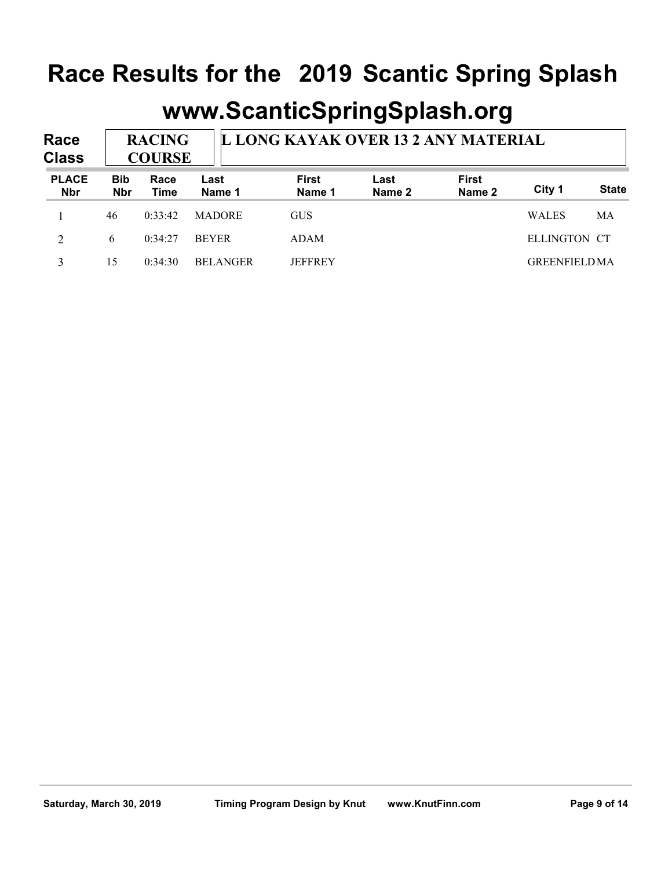| Race<br><b>Class</b>       |                          | <b>RACING</b><br><b>COURSE</b> |                 | L LONG KAYAK OVER 13 2 ANY MATERIAL |                |                        |                     |              |  |  |
|----------------------------|--------------------------|--------------------------------|-----------------|-------------------------------------|----------------|------------------------|---------------------|--------------|--|--|
| <b>PLACE</b><br><b>Nbr</b> | <b>Bib</b><br><b>Nbr</b> | Race<br>Time                   | Last<br>Name 1  | First<br>Name 1                     | Last<br>Name 2 | <b>First</b><br>Name 2 | City 1              | <b>State</b> |  |  |
|                            | 46                       | 0:33:42                        | <b>MADORE</b>   | <b>GUS</b>                          |                |                        | <b>WALES</b>        | МA           |  |  |
| $\overline{2}$             | 6                        | 0:34:27                        | <b>BEYER</b>    | ADAM                                |                |                        | ELLINGTON CT        |              |  |  |
| 3                          | 15                       | 0:34:30                        | <b>BELANGER</b> | <b>JEFFREY</b>                      |                |                        | <b>GREENFIELDMA</b> |              |  |  |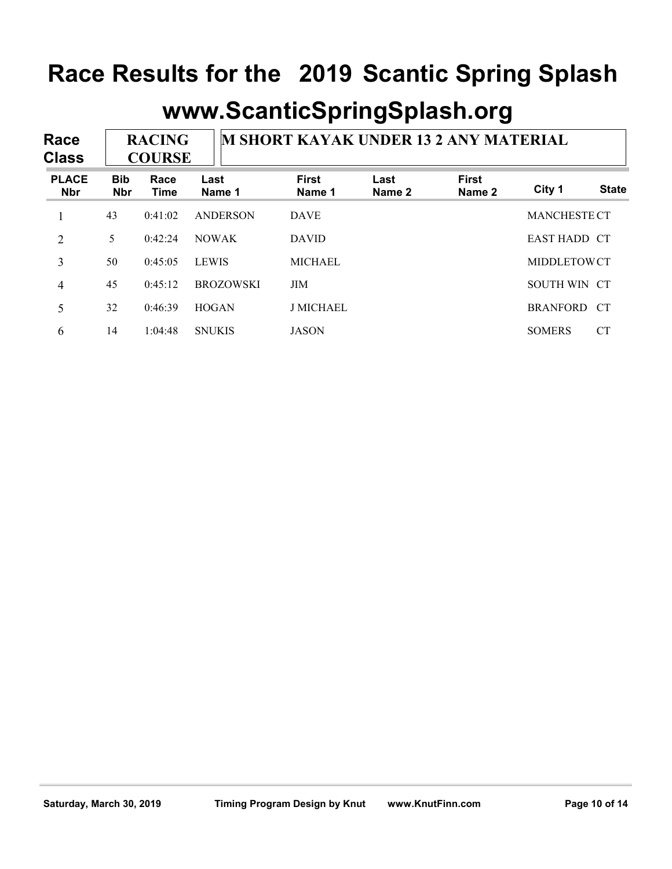| Race<br><b>Class</b>       |                          | <b>RACING</b><br><b>COURSE</b> |                  | <b>M SHORT KAYAK UNDER 13 2 ANY MATERIAL</b> |                |                        |                     |              |  |
|----------------------------|--------------------------|--------------------------------|------------------|----------------------------------------------|----------------|------------------------|---------------------|--------------|--|
| <b>PLACE</b><br><b>Nbr</b> | <b>Bib</b><br><b>Nbr</b> | Race<br>Time                   | Last<br>Name 1   | <b>First</b><br>Name 1                       | Last<br>Name 2 | <b>First</b><br>Name 2 | City 1              | <b>State</b> |  |
|                            | 43                       | 0:41:02                        | ANDERSON         | <b>DAVE</b>                                  |                |                        | <b>MANCHESTE CT</b> |              |  |
| $\overline{2}$             | 5                        | 0:42:24                        | <b>NOWAK</b>     | <b>DAVID</b>                                 |                |                        | <b>EAST HADD CT</b> |              |  |
| 3                          | 50                       | 0:45:05                        | <b>LEWIS</b>     | <b>MICHAEL</b>                               |                |                        | MIDDLETOWCT         |              |  |
| 4                          | 45                       | 0:45:12                        | <b>BROZOWSKI</b> | <b>JIM</b>                                   |                |                        | SOUTH WIN CT        |              |  |
| 5                          | 32                       | 0:46:39                        | <b>HOGAN</b>     | <b>J MICHAEL</b>                             |                |                        | <b>BRANFORD</b>     | <b>CT</b>    |  |
| 6                          | 14                       | 1:04:48                        | <b>SNUKIS</b>    | <b>JASON</b>                                 |                |                        | <b>SOMERS</b>       | <b>CT</b>    |  |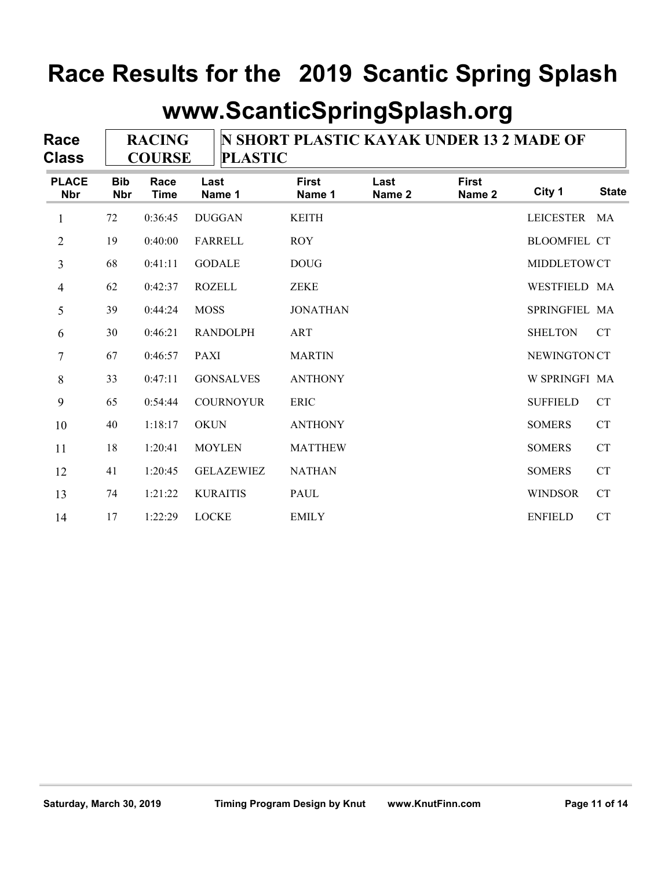| Race<br><b>Class</b>       | <b>RACING</b><br><b>COURSE</b> |                     |                   | <b>N SHORT PLASTIC KAYAK UNDER 13 2 MADE OF</b><br><b>PLASTIC</b> |                |                        |                     |              |  |  |
|----------------------------|--------------------------------|---------------------|-------------------|-------------------------------------------------------------------|----------------|------------------------|---------------------|--------------|--|--|
| <b>PLACE</b><br><b>Nbr</b> | <b>Bib</b><br><b>Nbr</b>       | Race<br><b>Time</b> | Last<br>Name 1    | <b>First</b><br>Name 1                                            | Last<br>Name 2 | <b>First</b><br>Name 2 | City 1              | <b>State</b> |  |  |
| $\mathbf{1}$               | 72                             | 0:36:45             | <b>DUGGAN</b>     | <b>KEITH</b>                                                      |                |                        | <b>LEICESTER</b>    | MA           |  |  |
| $\overline{2}$             | 19                             | 0:40:00             | <b>FARRELL</b>    | <b>ROY</b>                                                        |                |                        | <b>BLOOMFIEL CT</b> |              |  |  |
| 3                          | 68                             | 0:41:11             | <b>GODALE</b>     | <b>DOUG</b>                                                       |                |                        | MIDDLETOWCT         |              |  |  |
| $\overline{4}$             | 62                             | 0:42:37             | <b>ROZELL</b>     | <b>ZEKE</b>                                                       |                |                        | WESTFIELD MA        |              |  |  |
| 5                          | 39                             | 0:44:24             | <b>MOSS</b>       | <b>JONATHAN</b>                                                   |                |                        | SPRINGFIEL MA       |              |  |  |
| 6                          | 30                             | 0:46:21             | <b>RANDOLPH</b>   | <b>ART</b>                                                        |                |                        | <b>SHELTON</b>      | <b>CT</b>    |  |  |
| $\tau$                     | 67                             | 0:46:57             | <b>PAXI</b>       | <b>MARTIN</b>                                                     |                |                        | <b>NEWINGTON CT</b> |              |  |  |
| $8\,$                      | 33                             | 0:47:11             | <b>GONSALVES</b>  | <b>ANTHONY</b>                                                    |                |                        | W SPRINGFI MA       |              |  |  |
| 9                          | 65                             | 0:54:44             | <b>COURNOYUR</b>  | <b>ERIC</b>                                                       |                |                        | <b>SUFFIELD</b>     | <b>CT</b>    |  |  |
| 10                         | 40                             | 1:18:17             | <b>OKUN</b>       | <b>ANTHONY</b>                                                    |                |                        | <b>SOMERS</b>       | <b>CT</b>    |  |  |
| 11                         | 18                             | 1:20:41             | <b>MOYLEN</b>     | <b>MATTHEW</b>                                                    |                |                        | <b>SOMERS</b>       | <b>CT</b>    |  |  |
| 12                         | 41                             | 1:20:45             | <b>GELAZEWIEZ</b> | <b>NATHAN</b>                                                     |                |                        | <b>SOMERS</b>       | CT           |  |  |
| 13                         | 74                             | 1:21:22             | <b>KURAITIS</b>   | PAUL                                                              |                |                        | <b>WINDSOR</b>      | <b>CT</b>    |  |  |
| 14                         | 17                             | 1:22:29             | <b>LOCKE</b>      | <b>EMILY</b>                                                      |                |                        | <b>ENFIELD</b>      | <b>CT</b>    |  |  |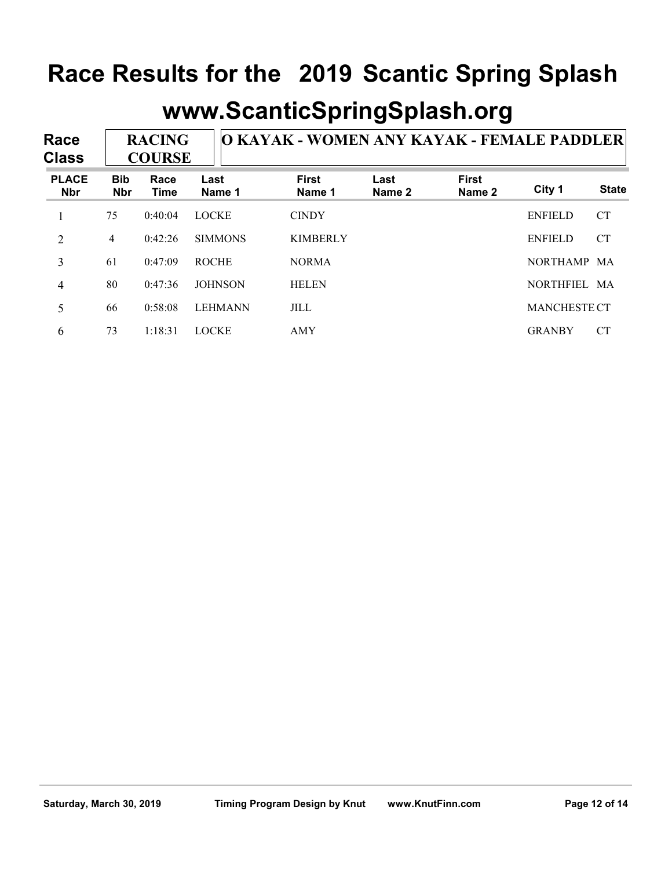| Race<br><b>Class</b>       |                          | <b>RACING</b><br><b>COURSE</b> |                | O KAYAK - WOMEN ANY KAYAK - FEMALE PADDLER |                |                        |                     |              |  |  |
|----------------------------|--------------------------|--------------------------------|----------------|--------------------------------------------|----------------|------------------------|---------------------|--------------|--|--|
| <b>PLACE</b><br><b>Nbr</b> | <b>Bib</b><br><b>Nbr</b> | Race<br>Time                   | Last<br>Name 1 | <b>First</b><br>Name 1                     | Last<br>Name 2 | <b>First</b><br>Name 2 | City 1              | <b>State</b> |  |  |
|                            | 75                       | 0:40:04                        | <b>LOCKE</b>   | <b>CINDY</b>                               |                |                        | <b>ENFIELD</b>      | <b>CT</b>    |  |  |
| $\overline{2}$             | 4                        | 0:42:26                        | <b>SIMMONS</b> | <b>KIMBERLY</b>                            |                |                        | <b>ENFIELD</b>      | <b>CT</b>    |  |  |
| 3                          | 61                       | 0:47:09                        | <b>ROCHE</b>   | <b>NORMA</b>                               |                |                        | NORTHAMP MA         |              |  |  |
| 4                          | 80                       | 0:47:36                        | <b>JOHNSON</b> | <b>HELEN</b>                               |                |                        | NORTHFIEL MA        |              |  |  |
| 5                          | 66                       | 0:58:08                        | <b>LEHMANN</b> | <b>JILL</b>                                |                |                        | <b>MANCHESTE CT</b> |              |  |  |
| 6                          | 73                       | 1:18:31                        | <b>LOCKE</b>   | AMY                                        |                |                        | <b>GRANBY</b>       | CT           |  |  |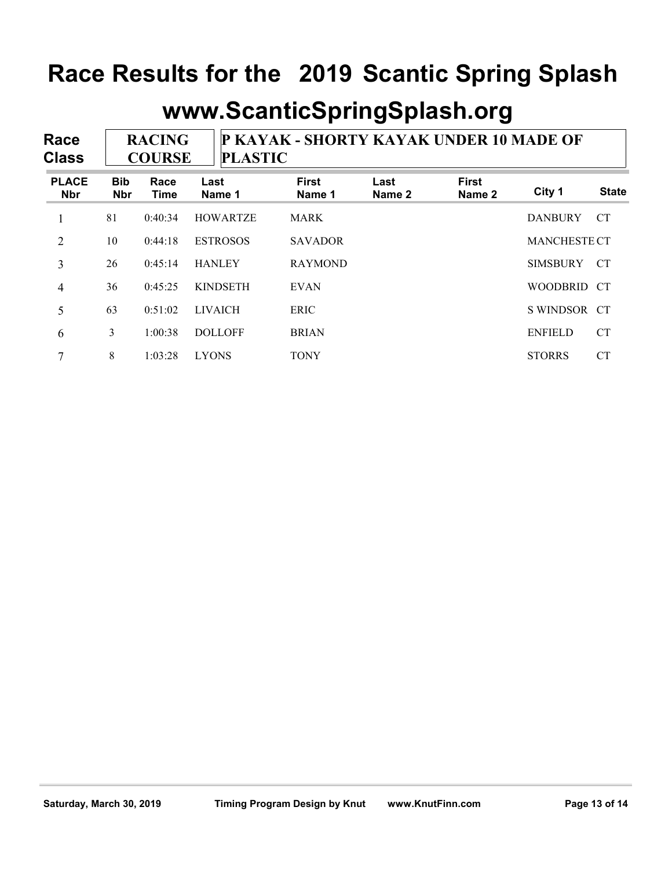#### **www.ScanticSpringSplash.org**

**Race Class P KAYAK - SHORTY KAYAK UNDER 10 MADE OF PLASTIC RACING COURSE**

| <b>PLACE</b><br><b>Nbr</b> | <b>Bib</b><br><b>Nbr</b> | Race<br>Time | Last<br>Name 1  | <b>First</b><br>Name 1 | Last<br>Name 2 | <b>First</b><br>Name 2 | City 1              | <b>State</b> |
|----------------------------|--------------------------|--------------|-----------------|------------------------|----------------|------------------------|---------------------|--------------|
|                            | 81                       | 0:40:34      | <b>HOWARTZE</b> | <b>MARK</b>            |                |                        | <b>DANBURY</b>      | <b>CT</b>    |
| $\overline{2}$             | 10                       | 0:44:18      | <b>ESTROSOS</b> | <b>SAVADOR</b>         |                |                        | <b>MANCHESTE CT</b> |              |
| 3                          | 26                       | 0:45:14      | <b>HANLEY</b>   | <b>RAYMOND</b>         |                |                        | <b>SIMSBURY</b>     | CT           |
| 4                          | 36                       | 0:45:25      | <b>KINDSETH</b> | <b>EVAN</b>            |                |                        | WOODBRID CT         |              |
| 5                          | 63                       | 0:51:02      | <b>LIVAICH</b>  | <b>ERIC</b>            |                |                        | S WINDSOR CT        |              |
| 6                          | 3                        | 1:00:38      | <b>DOLLOFF</b>  | <b>BRIAN</b>           |                |                        | <b>ENFIELD</b>      | <b>CT</b>    |
| 7                          | 8                        | 1:03:28      | <b>LYONS</b>    | <b>TONY</b>            |                |                        | <b>STORRS</b>       | <b>CT</b>    |